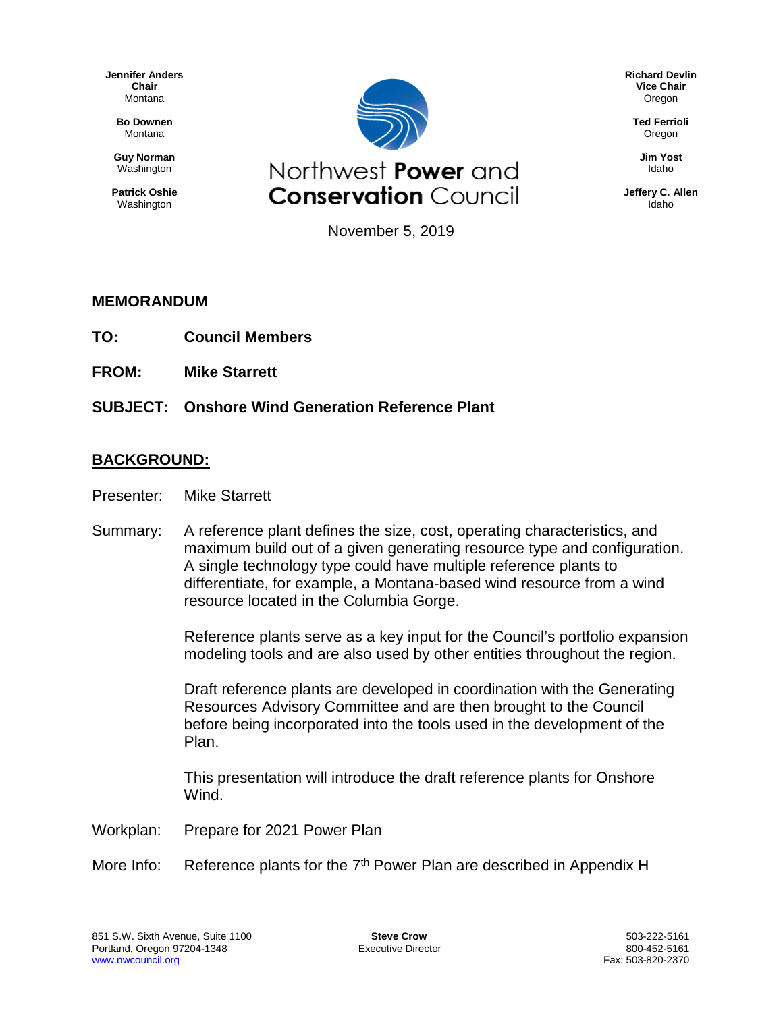**Jennifer Anders Chair** Montana

> **Bo Downen** Montana

**Guy Norman** Washington

**Patrick Oshie** Washington



**Richard Devlin Vice Chair** Oregon

> **Ted Ferrioli** Oregon

> > **Jim Yost** Idaho

**Jeffery C. Allen** Idaho

November 5, 2019

#### **MEMORANDUM**

- **TO: Council Members**
- **FROM: Mike Starrett**
- **SUBJECT: Onshore Wind Generation Reference Plant**

### **BACKGROUND:**

- Presenter: Mike Starrett
- Summary: A reference plant defines the size, cost, operating characteristics, and maximum build out of a given generating resource type and configuration. A single technology type could have multiple reference plants to differentiate, for example, a Montana-based wind resource from a wind resource located in the Columbia Gorge.

Reference plants serve as a key input for the Council's portfolio expansion modeling tools and are also used by other entities throughout the region.

Draft reference plants are developed in coordination with the Generating Resources Advisory Committee and are then brought to the Council before being incorporated into the tools used in the development of the Plan.

This presentation will introduce the draft reference plants for Onshore Wind.

- Workplan: Prepare for 2021 Power Plan
- More Info: Reference plants for the  $7<sup>th</sup>$  Power Plan are described in Appendix H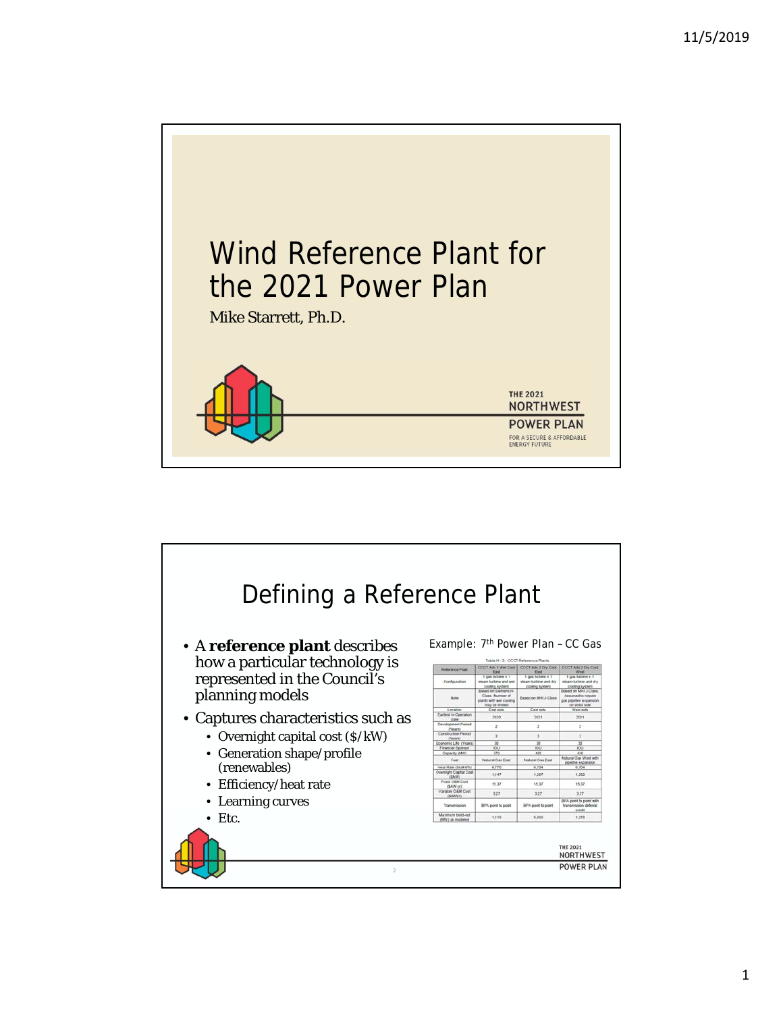

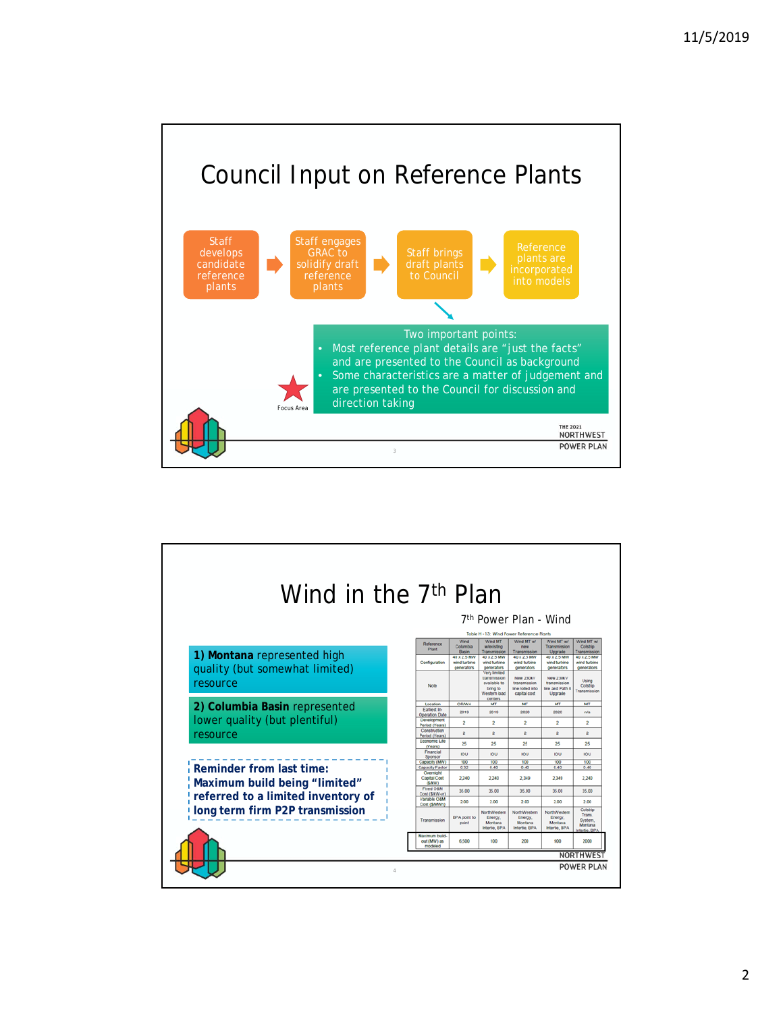

| Wind in the 7 <sup>th</sup> Plan   |                                           |                            |                                                                                     |                                                               |                                                         |                                                           |  |  |
|------------------------------------|-------------------------------------------|----------------------------|-------------------------------------------------------------------------------------|---------------------------------------------------------------|---------------------------------------------------------|-----------------------------------------------------------|--|--|
| 7 <sup>th</sup> Power Plan - Wind  |                                           |                            |                                                                                     |                                                               |                                                         |                                                           |  |  |
|                                    |                                           |                            |                                                                                     | Table H - 13: Wind Power Reference Plants                     |                                                         |                                                           |  |  |
|                                    | Reference                                 | Wind<br>Columbia           | Wind MT                                                                             | Wind MT w/                                                    | Wind MT w/<br>Transmission                              | Wind MT wil<br>Colstrip                                   |  |  |
|                                    | Plant                                     | Basin                      | w/existing<br>Transmission                                                          | new<br>Transmission                                           | Upgrade                                                 | Transmission                                              |  |  |
| 1) Montana represented high        |                                           | 40 x 2.5 MW                | 40 x 2.5 MW                                                                         | 40 x 2.5 MW<br>wind turbine                                   | 40 x 2.5 MW                                             | 40 x 2.5 MW                                               |  |  |
| quality (but somewhat limited)     | Configuration                             | wind turbine<br>generators | wind turbine<br>generators                                                          | generators                                                    | wind turbine<br>generators                              | wind turbine<br>penerators                                |  |  |
| resource                           | Note                                      |                            | Very limited<br>transmission<br>available to<br>bring to<br>Western load<br>centers | New 230kV<br>transmission<br>line rolled into<br>capital cost | New 230kV<br>transmission<br>line and Path 8<br>Upgrade | Using<br>Colstrip<br>Transmission                         |  |  |
| 2) Columbia Basin represented      | Location                                  | ORWA                       | MT                                                                                  | MT                                                            | MT                                                      | MT                                                        |  |  |
|                                    | Earliest In-<br>Operation Date            | 2019                       | 2019                                                                                | 2020                                                          | 2020                                                    | n/a                                                       |  |  |
| lower quality (but plentiful)      | Development<br>Period (Years)             | $\overline{a}$             | $\overline{2}$                                                                      | $\overline{\mathbf{z}}$                                       | $\mathbf{r}$                                            | $\overline{2}$                                            |  |  |
| resource                           | Construction<br>Period (Years)            | $\overline{a}$             | $\overline{a}$                                                                      | $\overline{a}$                                                | $\overline{a}$                                          | $\overline{a}$                                            |  |  |
|                                    | <b>Economic Life</b><br>(Years)           | 25                         | 25                                                                                  | 25                                                            | 25                                                      | 25                                                        |  |  |
|                                    | Financial<br>Sponsor                      | <b>IOU</b>                 | <b>IOU</b>                                                                          | <b>IOU</b>                                                    | <b>IOU</b>                                              | <b>IOU</b>                                                |  |  |
|                                    | Capacity (MW)                             | 100                        | 100                                                                                 | 100                                                           | 100                                                     | 100                                                       |  |  |
| Reminder from last time:           | <b>Capacity Factor</b>                    | 0.32                       | 0.40                                                                                | 0.40                                                          | 0.40                                                    | 0.40                                                      |  |  |
| Maximum build being "limited"      | Overnight<br><b>Canital Cost</b><br>(SAW) | 2.240                      | 2.240                                                                               | 2.349                                                         | 2.349                                                   | 2.240                                                     |  |  |
|                                    | Fixed O&M<br>Cost (S/kW-vr)               | 35.00                      | 35.00                                                                               | 35.00                                                         | 35.00                                                   | 35.00                                                     |  |  |
| referred to a limited inventory of | Variable O&M<br>Cost (\$/MWh)             | 2.00                       | 2.00                                                                                | 2.00                                                          | 2.00                                                    | 2.00                                                      |  |  |
| long term firm P2P transmission    | Transmission                              | BPA point to<br>point      | NorthWestern<br>Energy.<br>Montana<br>Intertie, BPA                                 | NorthWestern<br>Energy.<br>Montana<br>Intertie, BPA           | NorthWestern<br>Energy.<br>Montana<br>Intertie, BPA     | Colstrip<br>Trans.<br>System,<br>Montana<br>Intertie, BPA |  |  |
|                                    | Maximum build-<br>out (MW) as<br>modeled  | 6.500                      | 100                                                                                 | 200                                                           | 900                                                     | 2000                                                      |  |  |
|                                    |                                           |                            |                                                                                     |                                                               |                                                         | NORTHWES <sup>®</sup>                                     |  |  |
|                                    |                                           |                            |                                                                                     |                                                               |                                                         | <b>POWER PLAN</b>                                         |  |  |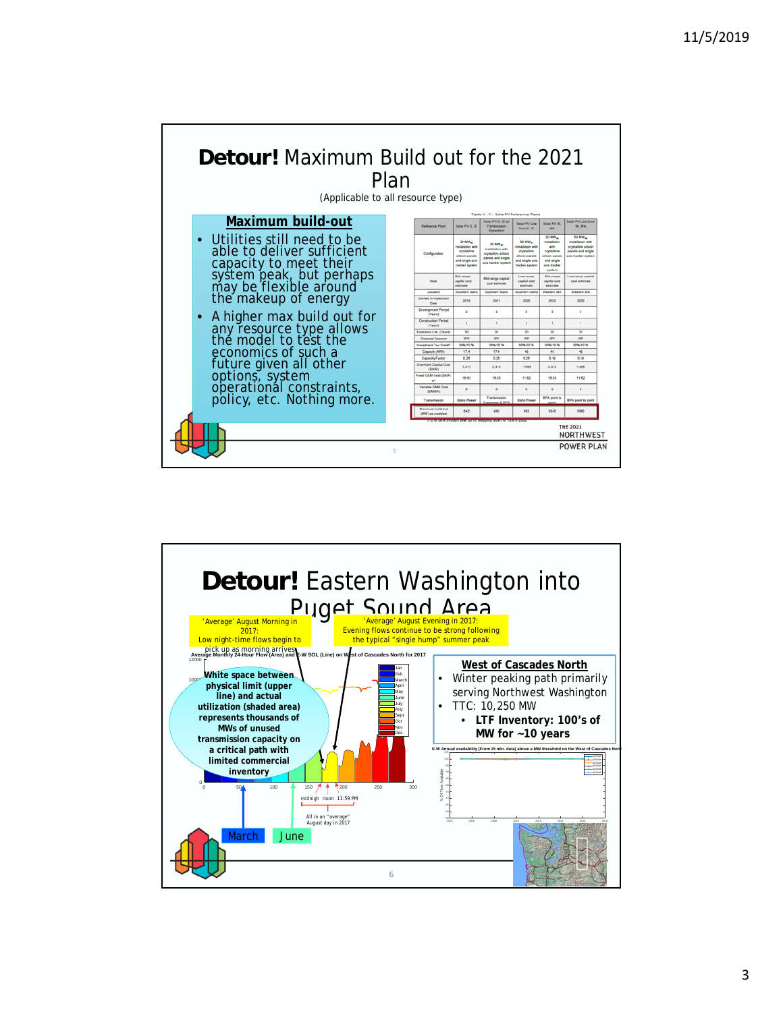

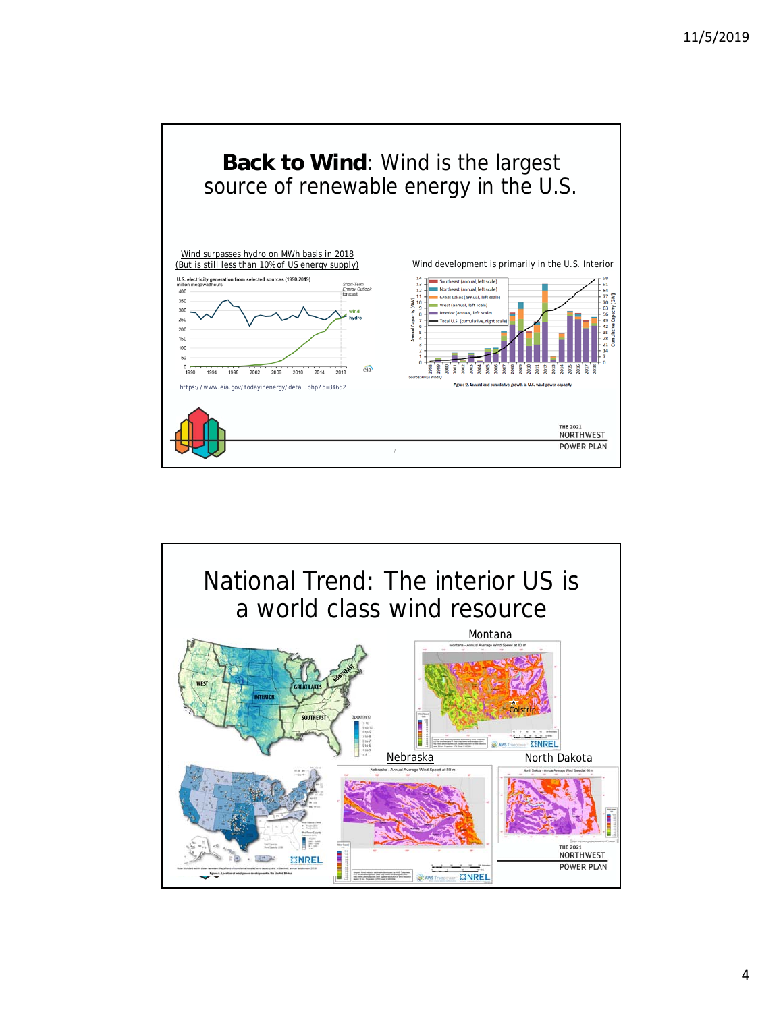

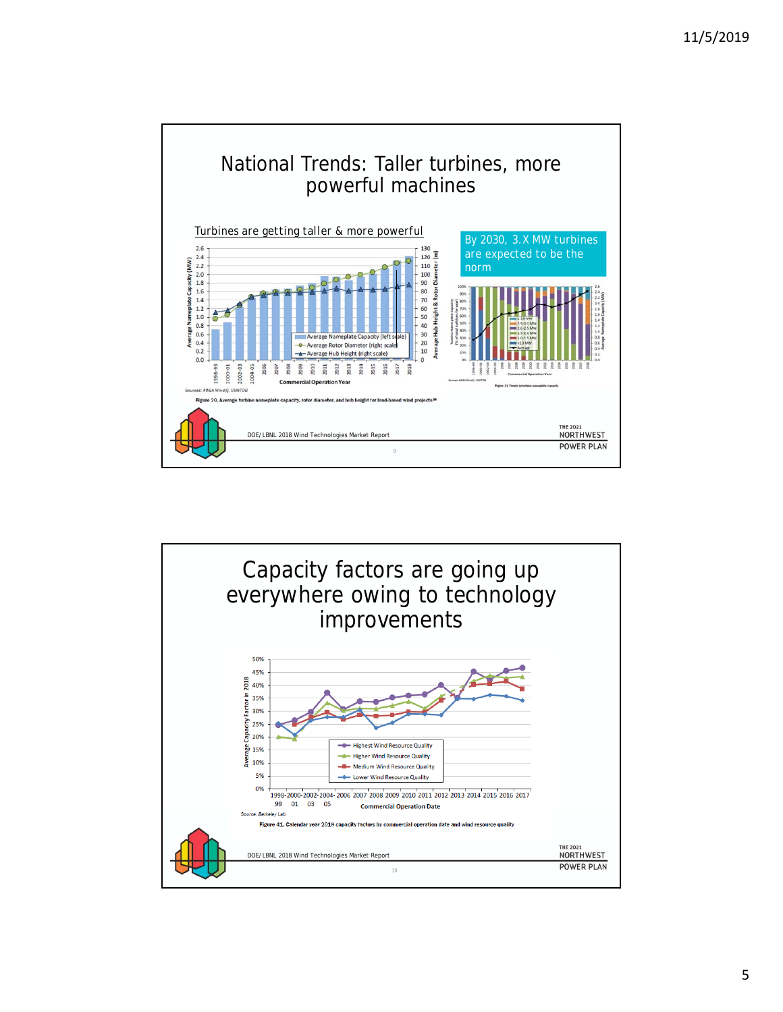![](_page_5_Figure_1.jpeg)

![](_page_5_Figure_2.jpeg)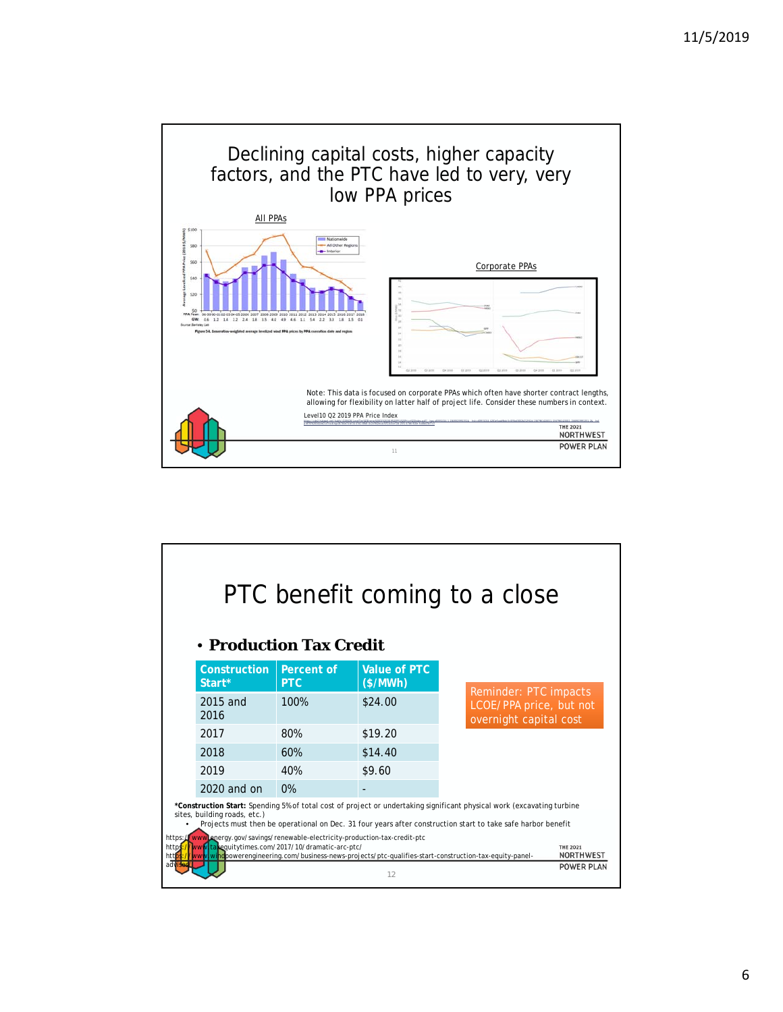![](_page_6_Figure_1.jpeg)

![](_page_6_Figure_2.jpeg)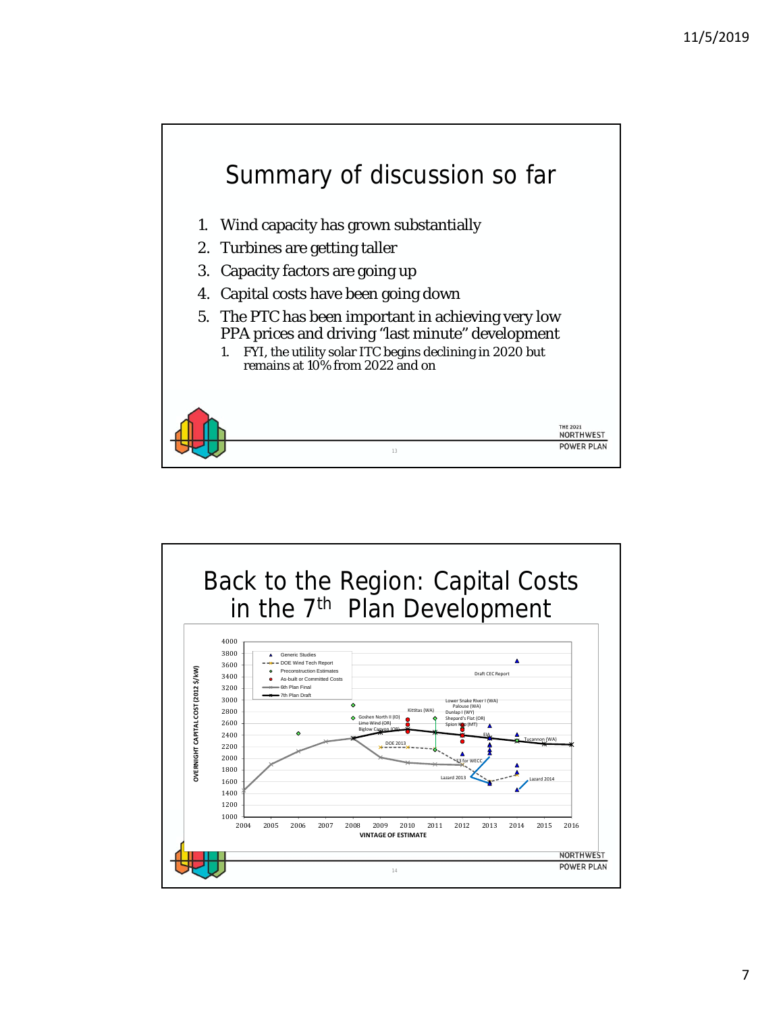![](_page_7_Figure_1.jpeg)

![](_page_7_Figure_2.jpeg)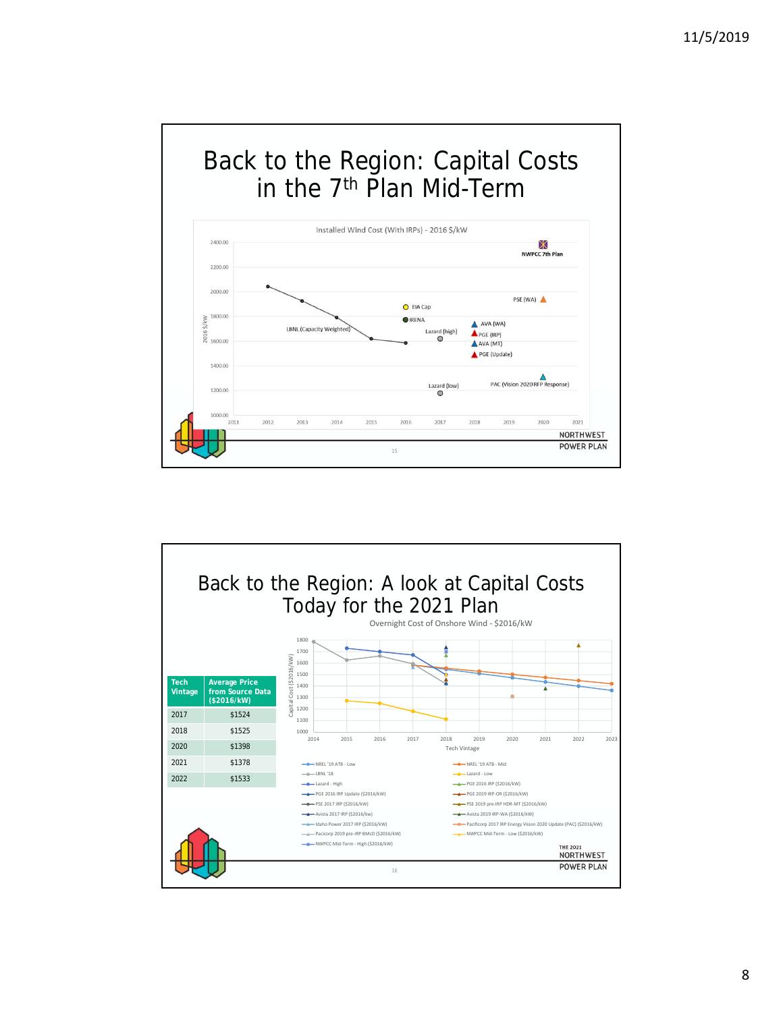## Back to the Region: Capital Costs in the 7<sup>th</sup> Plan Mid-Term

![](_page_8_Figure_2.jpeg)

![](_page_8_Figure_3.jpeg)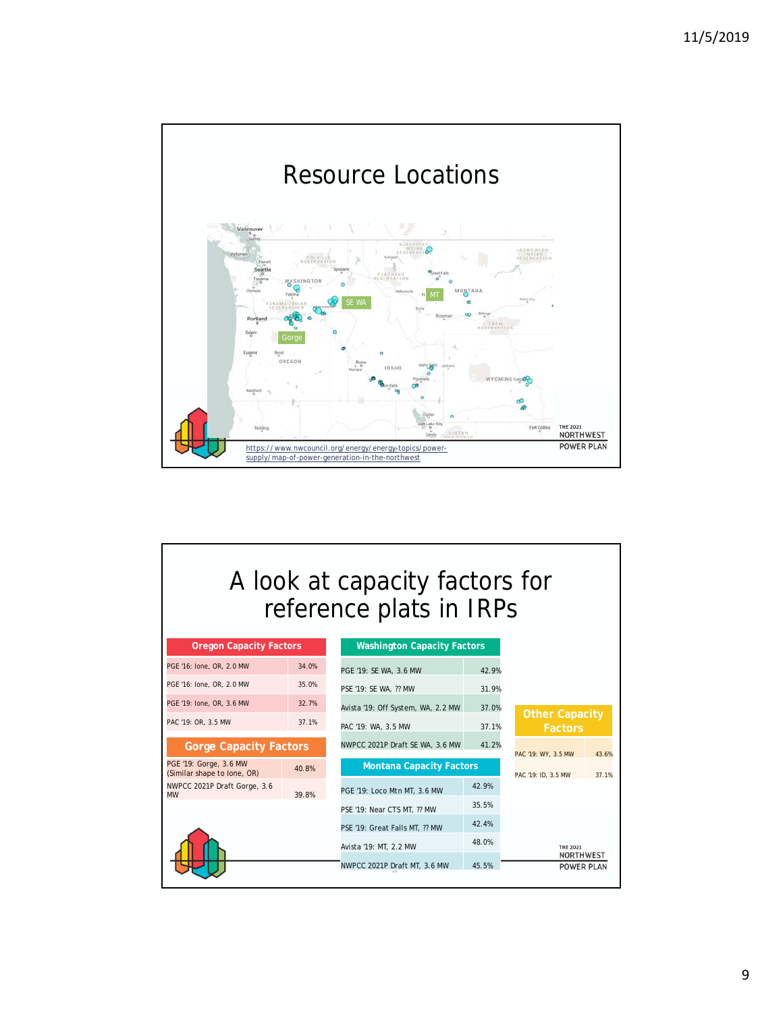![](_page_9_Figure_1.jpeg)

# A look at capacity factors for reference plats in IRPs

| <b>Oregon Capacity Factors</b>                        |       | <b>Washington Capacity Factors</b> |       |  |
|-------------------------------------------------------|-------|------------------------------------|-------|--|
| PGE '16: Ione, OR, 2.0 MW                             | 34.0% | PGE '19: SE WA, 3.6 MW             | 42.9% |  |
| PGE '16: Ione, OR, 2.0 MW                             | 35.0% | PSE '19: SE WA, ?? MW              | 31.9% |  |
| PGE '19: Ione, OR, 3.6 MW                             | 32.7% | Avista '19: Off System, WA, 2.2 MW | 37.0% |  |
| PAC '19: OR. 3.5 MW                                   | 37.1% | PAC '19: WA, 3.5 MW                | 37.1% |  |
| <b>Gorge Capacity Factors</b>                         |       | NWPCC 2021P Draft SE WA, 3.6 MW    | 41.2% |  |
| PGE '19: Gorge, 3.6 MW<br>(Similar shape to lone, OR) | 40.8% | <b>Montana Capacity Factors</b>    |       |  |
| NWPCC 2021P Draft Gorge, 3.6<br>MW                    | 39.8% | PGE '19: Loco Mtn MT, 3.6 MW       | 42.9% |  |
|                                                       |       | PSE '19: Near CTS MT, ?? MW        | 35.5% |  |
|                                                       |       | PSE '19: Great Falls MT, ?? MW     | 42.4% |  |
|                                                       |       | Avista '19: MT, 2.2 MW             | 48.0% |  |
|                                                       |       | NWPCC 2021P Draft MT, 3.6 MW       | 45.5% |  |
|                                                       |       |                                    |       |  |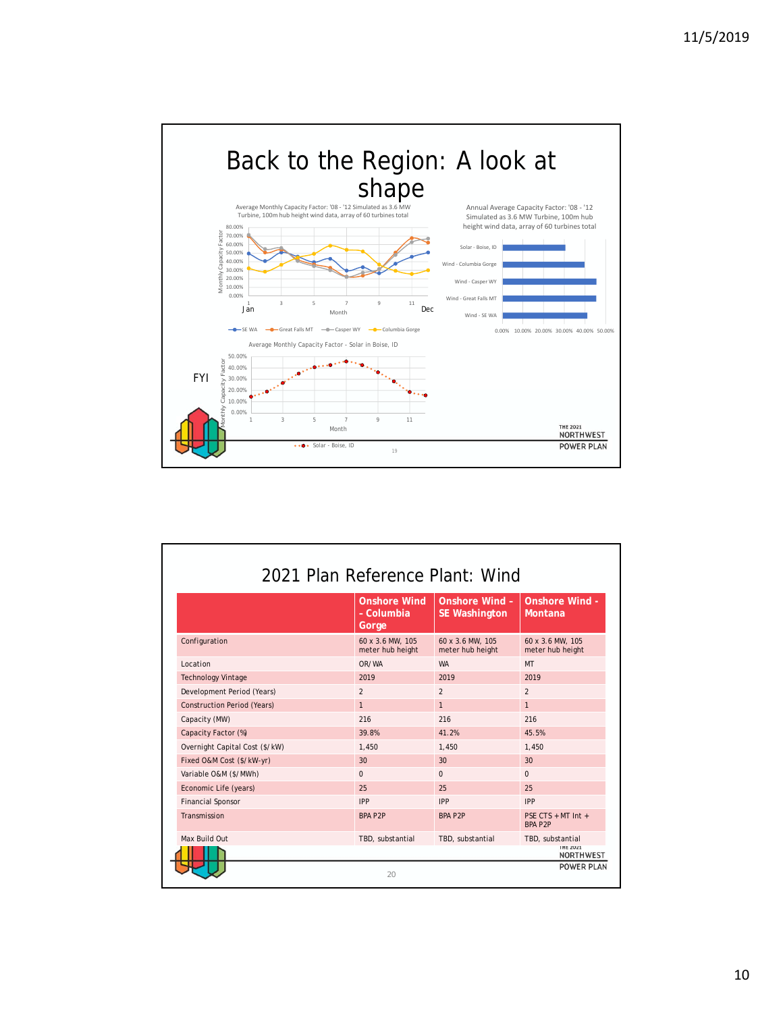![](_page_10_Figure_1.jpeg)

|                                    | <b>Onshore Wind</b><br>- Columbia<br>Gorge | <b>Onshore Wind -</b><br><b>SE Washington</b> | <b>Onshore Wind -</b><br>Montana     |
|------------------------------------|--------------------------------------------|-----------------------------------------------|--------------------------------------|
| Configuration                      | 60 x 3.6 MW, 105<br>meter hub height       | 60 x 3.6 MW, 105<br>meter hub height          | 60 x 3.6 MW, 105<br>meter hub height |
| Location                           | OR/WA                                      | <b>WA</b>                                     | <b>MT</b>                            |
| <b>Technology Vintage</b>          | 2019                                       | 2019                                          | 2019                                 |
| Development Period (Years)         | $\mathfrak{p}$                             | $\mathfrak{p}$                                | $\mathfrak{p}$                       |
| <b>Construction Period (Years)</b> | $\mathbf{1}$                               | $\mathbf{1}$                                  | $\mathbf{1}$                         |
| Capacity (MW)                      | 216                                        | 216                                           | 216                                  |
| Capacity Factor (%)                | 39.8%                                      | 41.2%                                         | 45.5%                                |
| Overnight Capital Cost (\$/kW)     | 1,450                                      | 1,450                                         | 1.450                                |
| Fixed O&M Cost (\$/kW-yr)          | 30                                         | 30                                            | 30                                   |
| Variable O&M (\$/MWh)              | $\Omega$                                   | $\Omega$                                      | $\Omega$                             |
| Economic Life (years)              | 25                                         | 25                                            | 25                                   |
| <b>Financial Sponsor</b>           | IPP                                        | IPP                                           | IPP                                  |
| Transmission                       | <b>BPA P2P</b>                             | <b>BPA P2P</b>                                | PSF CTS + MT Int +<br><b>BPA P2P</b> |
| Max Build Out                      | TBD, substantial                           | TBD, substantial                              | TBD, substantial<br><b>IME 2021</b>  |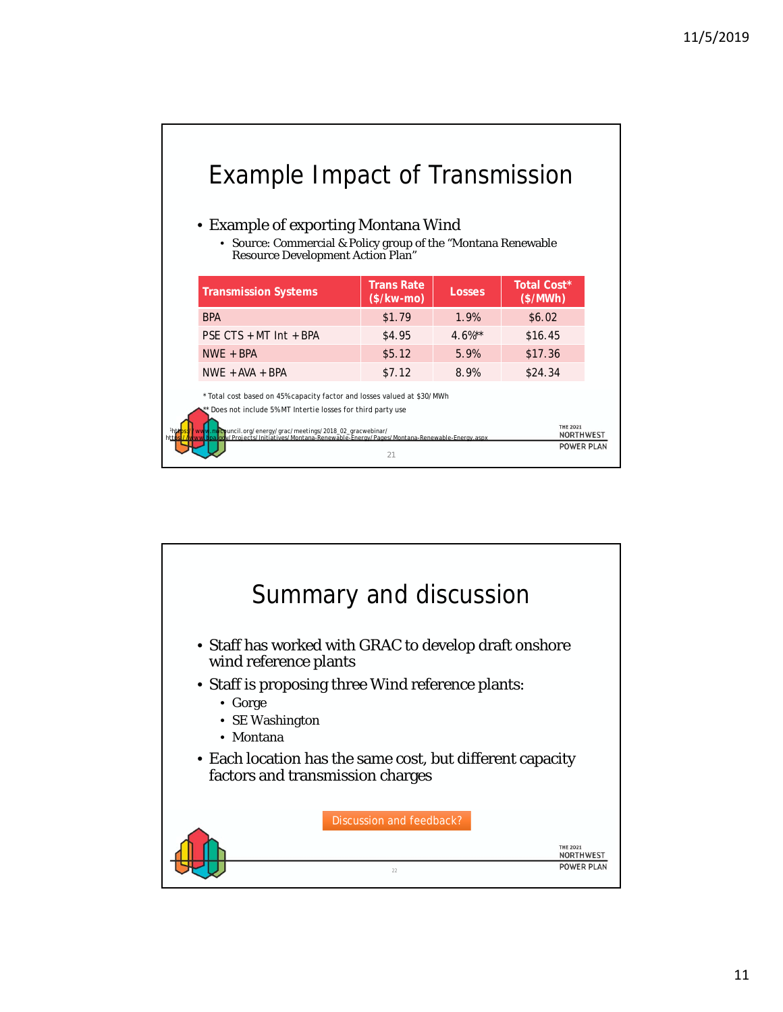| <b>Example Impact of Transmission</b><br>• Example of exporting Montana Wind<br>• Source: Commercial & Policy group of the "Montana Renewable<br><b>Resource Development Action Plan"</b>                                                                                                                                 |                                 |        |                                                   |  |  |  |  |  |
|---------------------------------------------------------------------------------------------------------------------------------------------------------------------------------------------------------------------------------------------------------------------------------------------------------------------------|---------------------------------|--------|---------------------------------------------------|--|--|--|--|--|
| <b>Transmission Systems</b>                                                                                                                                                                                                                                                                                               | <b>Trans Rate</b><br>(\$/kw-mo) | Losses | Total Cost*<br>(\$/MWh)                           |  |  |  |  |  |
| <b>BPA</b>                                                                                                                                                                                                                                                                                                                | \$1.79                          | 1.9%   | \$6.02\$                                          |  |  |  |  |  |
| $PSF CTS + MT Int + BPA$                                                                                                                                                                                                                                                                                                  | \$4.95                          | 4.6%** | \$16.45                                           |  |  |  |  |  |
| $NWF + BPA$                                                                                                                                                                                                                                                                                                               | \$5.12                          | 5.9%   | \$17.36                                           |  |  |  |  |  |
| $NWF + AVA + BPA$                                                                                                                                                                                                                                                                                                         | \$7.12                          | 8.9%   | \$24.34                                           |  |  |  |  |  |
| * Total cost based on 45% capacity factor and losses valued at \$30/MWh<br>Does not include 5% MT Intertie losses for third party use<br>r <mark>w.nyc</mark> puncil.org/energy/grac/meetings/2018_02_gracwebinar/<br>. bpa gov/Projects/Initiatives/Montana-Renewable-Energy/Pages/Montana-Renewable-Energy.aspx<br>htti | 21                              |        | <b>THE 2021</b><br>NORTHWEST<br><b>POWER PLAI</b> |  |  |  |  |  |

![](_page_11_Figure_2.jpeg)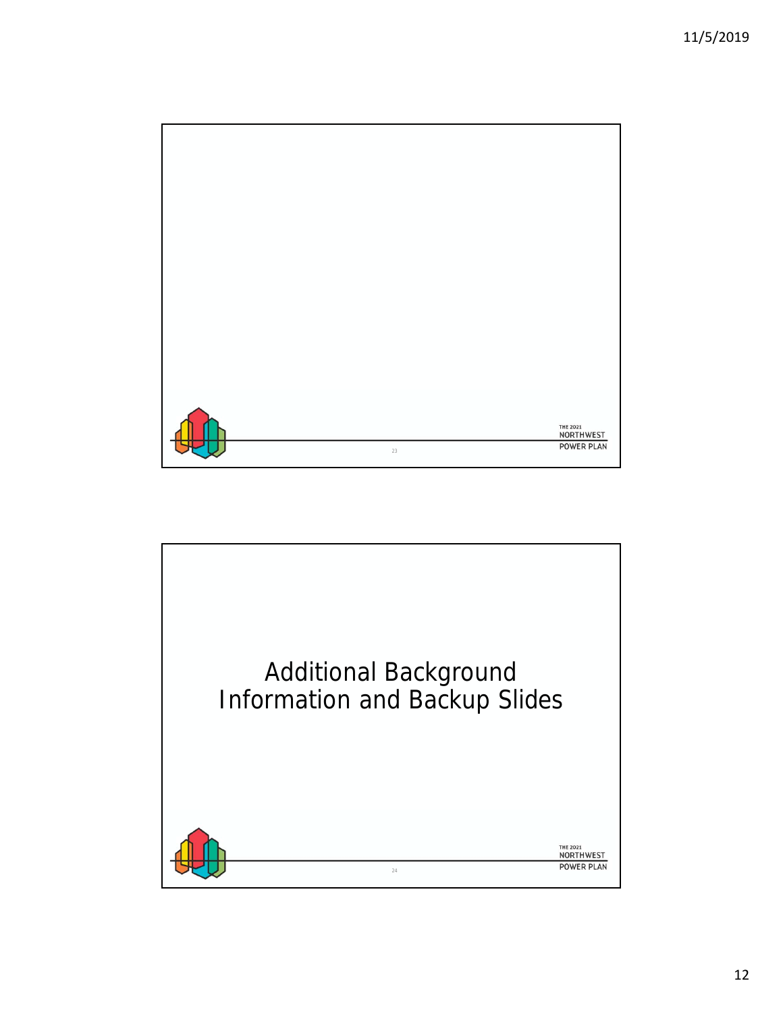![](_page_12_Picture_1.jpeg)

![](_page_12_Picture_2.jpeg)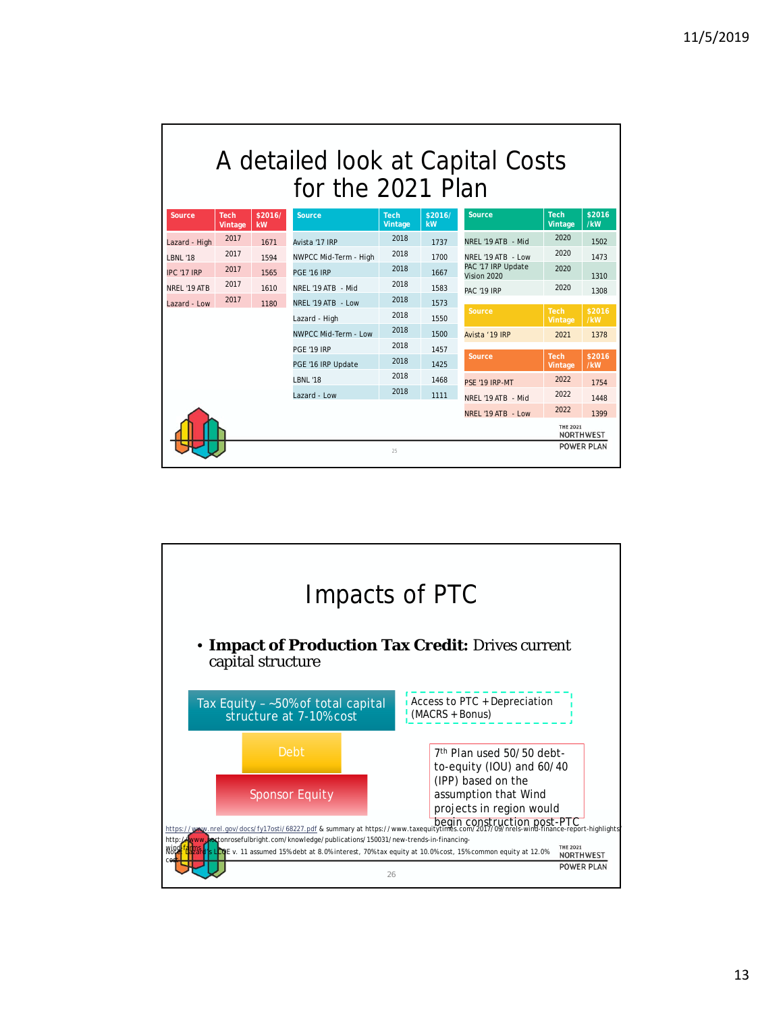# A detailed look at Capital Costs for the 2021 Plan

| Source                  | <b>Tech</b><br>Vintage | \$2016/<br>kW        | Source                | <b>Tech</b><br>Vintage | \$2016/<br>kW  | Source                            | <b>Tech</b><br>Vintage | \$2016<br>/kW |
|-------------------------|------------------------|----------------------|-----------------------|------------------------|----------------|-----------------------------------|------------------------|---------------|
| Lazard - High           | 2017                   | 1671                 | Avista '17 IRP        | 2018                   | 1737           | NREL '19 ATB - Mid                | 2020                   | 1502          |
| <b>LBNL '18</b>         | 2017                   | 1594                 | NWPCC Mid-Term - High | 2018                   | 1700           | NREL '19 ATB - Low                | 2020                   | 1473          |
| IPC '17 IRP             | 2017                   | 1565                 | <b>PGE '16 IRP</b>    | 2018                   | 1667           | PAC '17 IRP Update<br>Vision 2020 | 2020                   | 1310          |
| NREL '19 ATB            | 2017                   | 1610                 | NREL '19 ATB - Mid    | 2018                   | 1583           | <b>PAC '19 IRP</b>                | 2020                   | 1308          |
| Lazard - Low            | 2017                   | 1180                 | NREL '19 ATB - Low    | 2018                   | 1573           |                                   |                        |               |
|                         |                        |                      | Lazard - High         | 2018                   | 1550           | Source                            | <b>Tech</b><br>Vintage | \$2016<br>/kW |
|                         |                        | NWPCC Mid-Term - Low | 2018                  | 1500                   | Avista '19 IRP | 2021                              | 1378                   |               |
|                         |                        | <b>PGE '19 IRP</b>   | 2018                  | 1457                   |                |                                   |                        |               |
|                         |                        | PGE '16 IRP Update   | 2018                  | 1425                   | Source         | <b>Tech</b><br>Vintage            | \$2016<br>/kW          |               |
|                         |                        |                      | <b>LBNL '18</b>       | 2018                   | 1468           | PSE '19 IRP-MT                    | 2022                   | 1754          |
|                         |                        |                      | Lazard - Low          | 2018                   | 1111           | NREL '19 ATB - Mid                | 2022                   | 1448          |
|                         |                        |                      |                       |                        |                | NREL '19 ATB - Low                | 2022                   | 1399          |
|                         |                        |                      |                       |                        |                |                                   | <b>THE 2021</b>        | NORTHWEST     |
| <b>POWER PLAN</b><br>25 |                        |                      |                       |                        |                |                                   |                        |               |

![](_page_13_Figure_3.jpeg)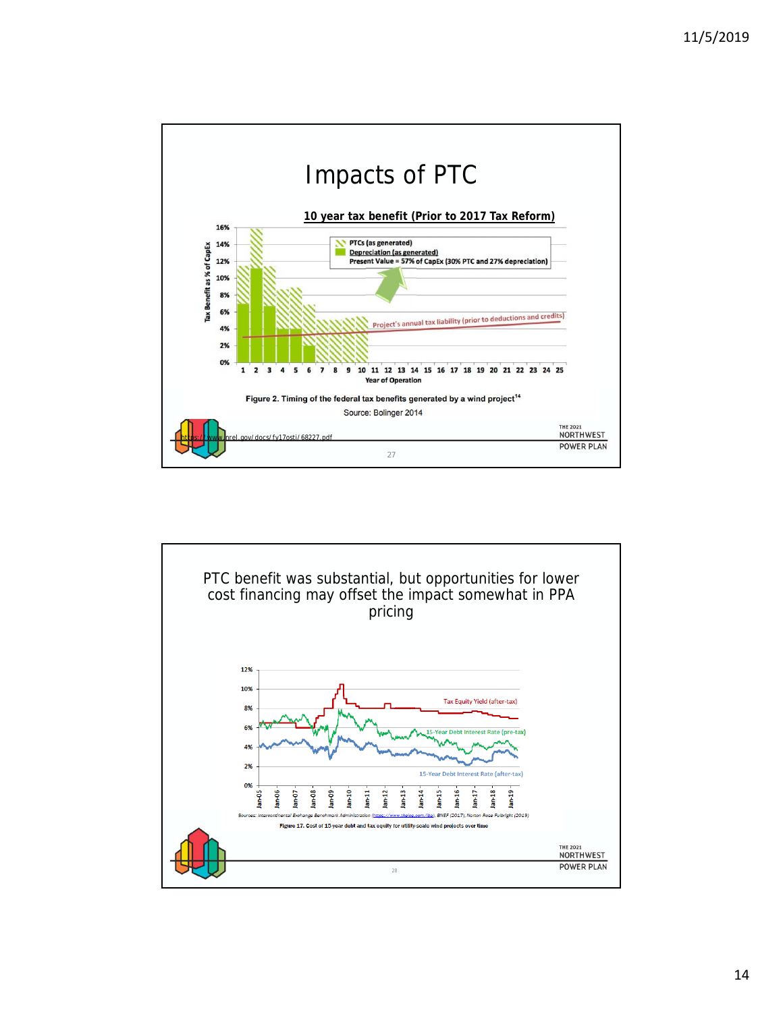![](_page_14_Figure_1.jpeg)

![](_page_14_Figure_2.jpeg)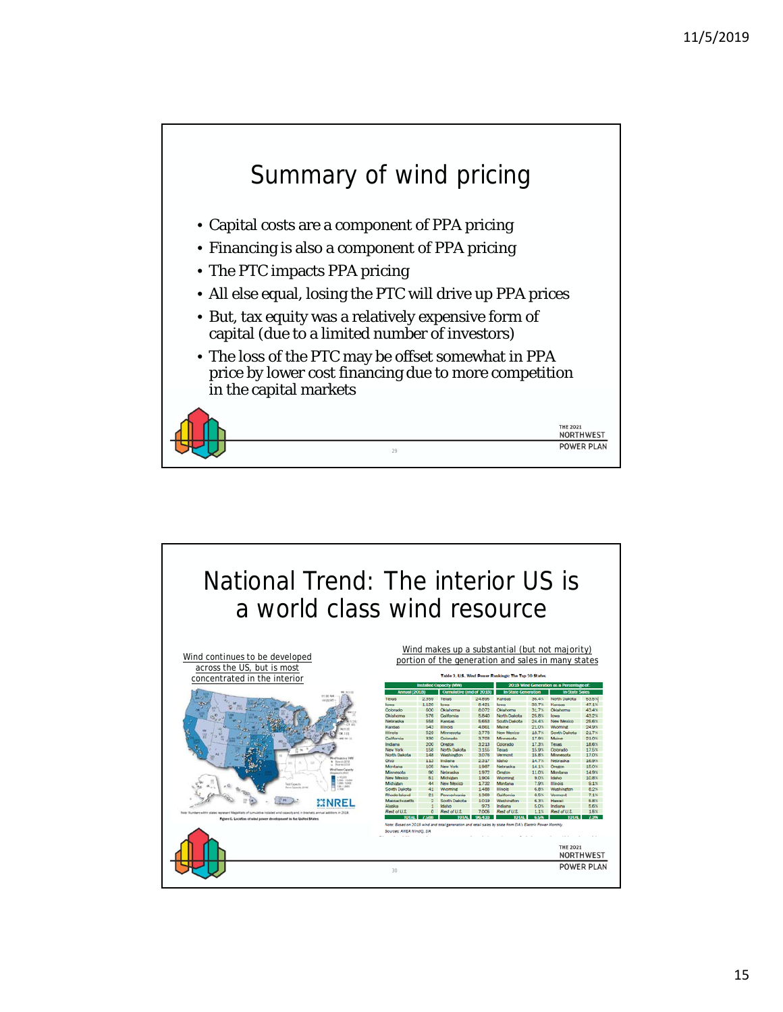![](_page_15_Figure_1.jpeg)

![](_page_15_Picture_2.jpeg)